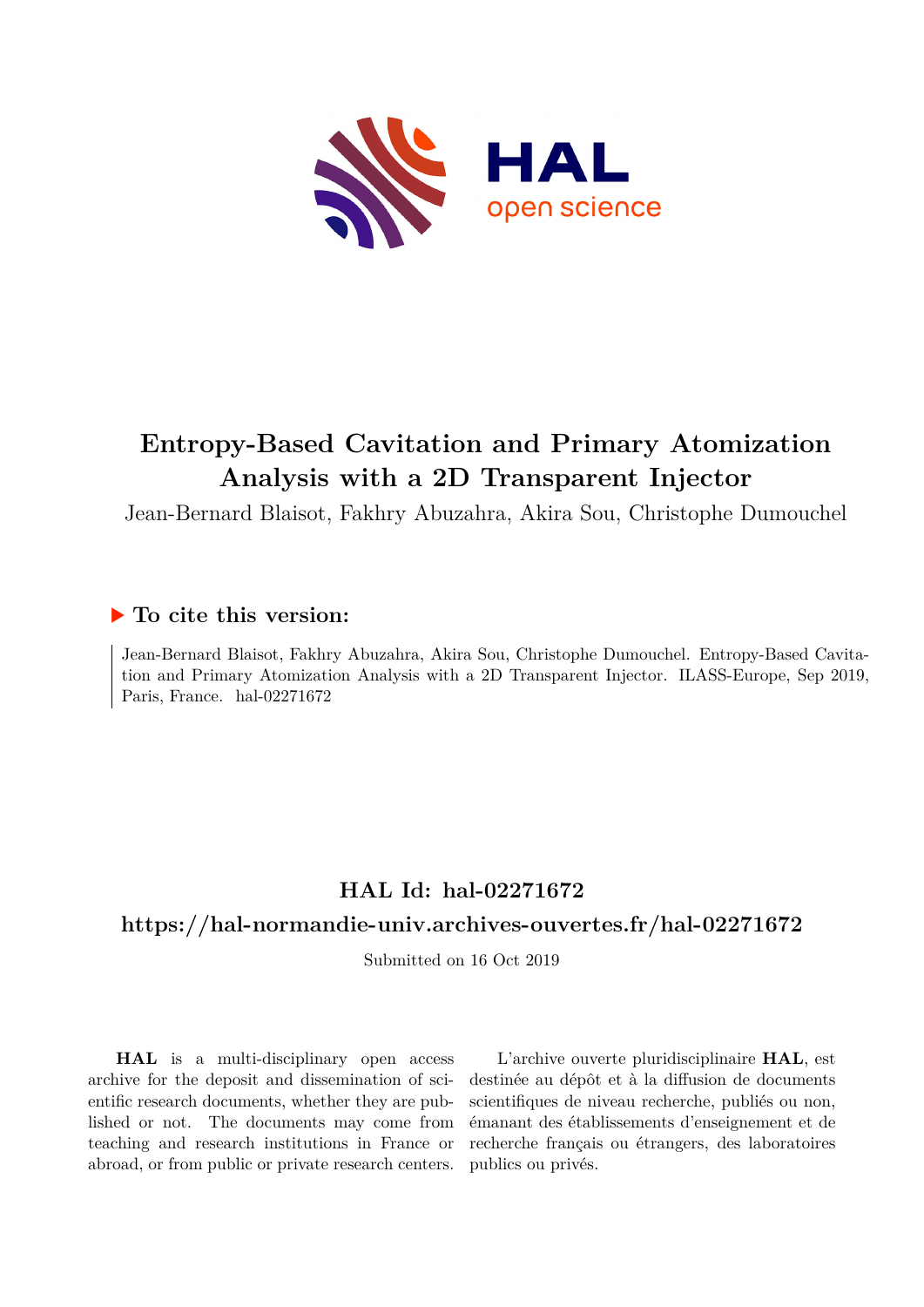

# **Entropy-Based Cavitation and Primary Atomization Analysis with a 2D Transparent Injector**

Jean-Bernard Blaisot, Fakhry Abuzahra, Akira Sou, Christophe Dumouchel

## **To cite this version:**

Jean-Bernard Blaisot, Fakhry Abuzahra, Akira Sou, Christophe Dumouchel. Entropy-Based Cavitation and Primary Atomization Analysis with a 2D Transparent Injector. ILASS-Europe, Sep 2019, Paris, France. hal-02271672

# **HAL Id: hal-02271672**

## **<https://hal-normandie-univ.archives-ouvertes.fr/hal-02271672>**

Submitted on 16 Oct 2019

**HAL** is a multi-disciplinary open access archive for the deposit and dissemination of scientific research documents, whether they are published or not. The documents may come from teaching and research institutions in France or abroad, or from public or private research centers.

L'archive ouverte pluridisciplinaire **HAL**, est destinée au dépôt et à la diffusion de documents scientifiques de niveau recherche, publiés ou non, émanant des établissements d'enseignement et de recherche français ou étrangers, des laboratoires publics ou privés.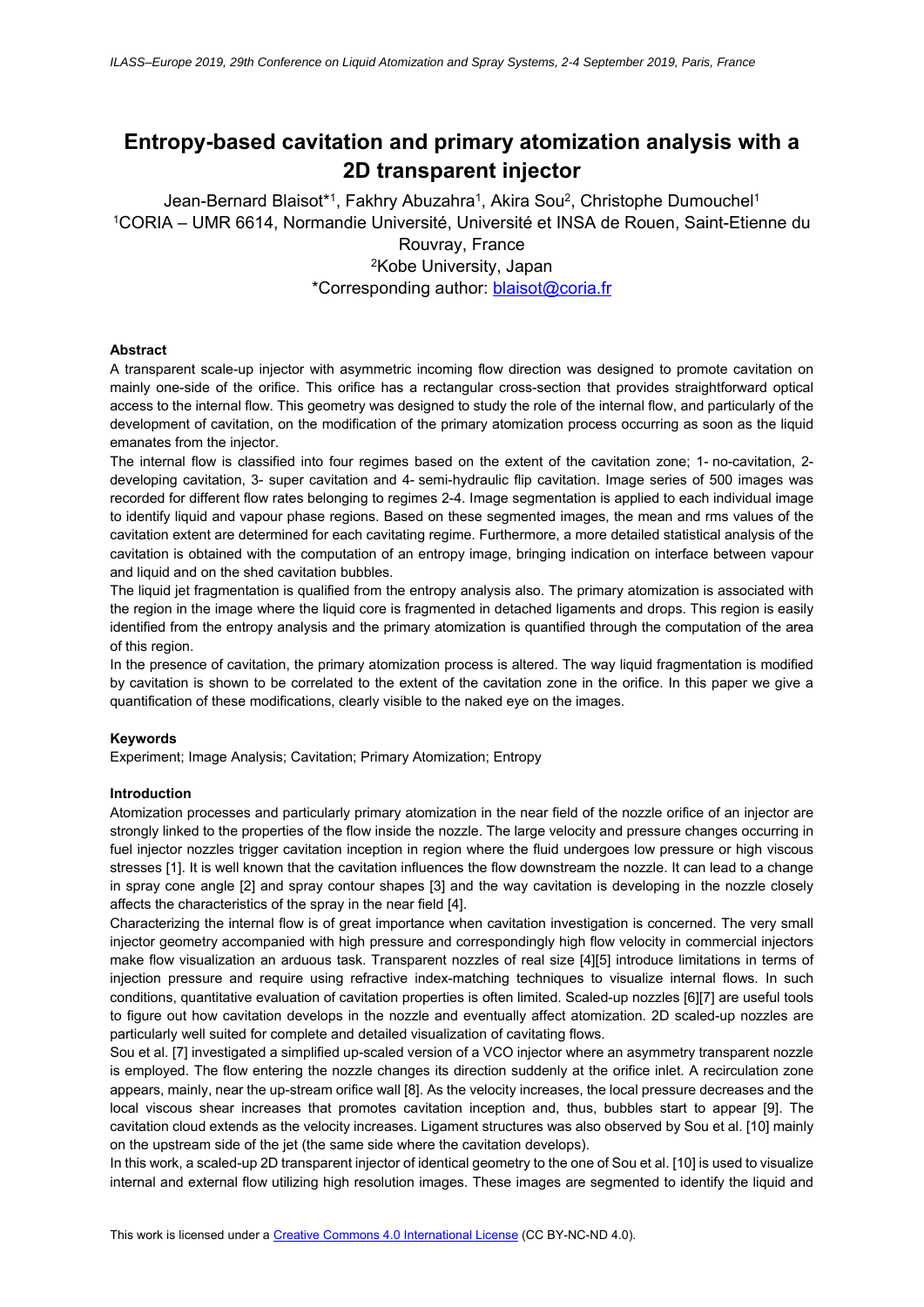## **Entropy-based cavitation and primary atomization analysis with a 2D transparent injector**

Jean-Bernard Blaisot<sup>\*1</sup>, Fakhry Abuzahra<sup>1</sup>, Akira Sou<sup>2</sup>, Christophe Dumouchel<sup>1</sup> 1CORIA – UMR 6614, Normandie Université, Université et INSA de Rouen, Saint-Etienne du Rouvray, France 2Kobe University, Japan

\*Corresponding author: blaisot@coria.fr

## **Abstract**

A transparent scale-up injector with asymmetric incoming flow direction was designed to promote cavitation on mainly one-side of the orifice. This orifice has a rectangular cross-section that provides straightforward optical access to the internal flow. This geometry was designed to study the role of the internal flow, and particularly of the development of cavitation, on the modification of the primary atomization process occurring as soon as the liquid emanates from the injector.

The internal flow is classified into four regimes based on the extent of the cavitation zone; 1- no-cavitation, 2 developing cavitation, 3- super cavitation and 4- semi-hydraulic flip cavitation. Image series of 500 images was recorded for different flow rates belonging to regimes 2-4. Image segmentation is applied to each individual image to identify liquid and vapour phase regions. Based on these segmented images, the mean and rms values of the cavitation extent are determined for each cavitating regime. Furthermore, a more detailed statistical analysis of the cavitation is obtained with the computation of an entropy image, bringing indication on interface between vapour and liquid and on the shed cavitation bubbles.

The liquid jet fragmentation is qualified from the entropy analysis also. The primary atomization is associated with the region in the image where the liquid core is fragmented in detached ligaments and drops. This region is easily identified from the entropy analysis and the primary atomization is quantified through the computation of the area of this region.

In the presence of cavitation, the primary atomization process is altered. The way liquid fragmentation is modified by cavitation is shown to be correlated to the extent of the cavitation zone in the orifice. In this paper we give a quantification of these modifications, clearly visible to the naked eye on the images.

### **Keywords**

Experiment; Image Analysis; Cavitation; Primary Atomization; Entropy

### **Introduction**

Atomization processes and particularly primary atomization in the near field of the nozzle orifice of an injector are strongly linked to the properties of the flow inside the nozzle. The large velocity and pressure changes occurring in fuel injector nozzles trigger cavitation inception in region where the fluid undergoes low pressure or high viscous stresses [1]. It is well known that the cavitation influences the flow downstream the nozzle. It can lead to a change in spray cone angle [2] and spray contour shapes [3] and the way cavitation is developing in the nozzle closely affects the characteristics of the spray in the near field [4].

Characterizing the internal flow is of great importance when cavitation investigation is concerned. The very small injector geometry accompanied with high pressure and correspondingly high flow velocity in commercial injectors make flow visualization an arduous task. Transparent nozzles of real size [4][5] introduce limitations in terms of injection pressure and require using refractive index-matching techniques to visualize internal flows. In such conditions, quantitative evaluation of cavitation properties is often limited. Scaled-up nozzles [6][7] are useful tools to figure out how cavitation develops in the nozzle and eventually affect atomization. 2D scaled-up nozzles are particularly well suited for complete and detailed visualization of cavitating flows.

Sou et al. [7] investigated a simplified up-scaled version of a VCO injector where an asymmetry transparent nozzle is employed. The flow entering the nozzle changes its direction suddenly at the orifice inlet. A recirculation zone appears, mainly, near the up-stream orifice wall [8]. As the velocity increases, the local pressure decreases and the local viscous shear increases that promotes cavitation inception and, thus, bubbles start to appear [9]. The cavitation cloud extends as the velocity increases. Ligament structures was also observed by Sou et al. [10] mainly on the upstream side of the jet (the same side where the cavitation develops).

In this work, a scaled-up 2D transparent injector of identical geometry to the one of Sou et al. [10] is used to visualize internal and external flow utilizing high resolution images. These images are segmented to identify the liquid and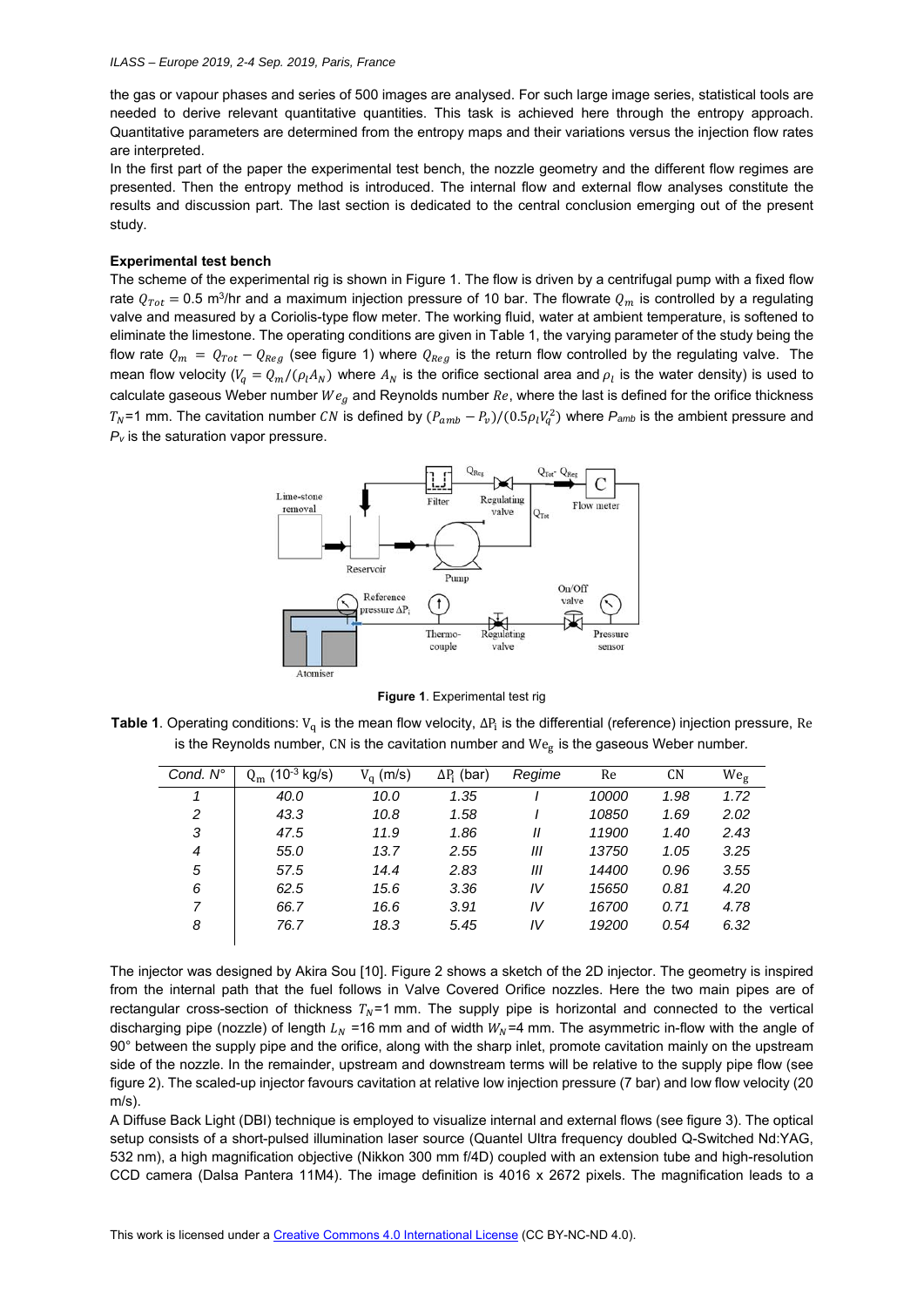### *ILASS – Europe 2019, 2-4 Sep. 2019, Paris, France*

the gas or vapour phases and series of 500 images are analysed. For such large image series, statistical tools are needed to derive relevant quantitative quantities. This task is achieved here through the entropy approach. Quantitative parameters are determined from the entropy maps and their variations versus the injection flow rates are interpreted.

In the first part of the paper the experimental test bench, the nozzle geometry and the different flow regimes are presented. Then the entropy method is introduced. The internal flow and external flow analyses constitute the results and discussion part. The last section is dedicated to the central conclusion emerging out of the present study.

## **Experimental test bench**

The scheme of the experimental rig is shown in Figure 1. The flow is driven by a centrifugal pump with a fixed flow rate  $Q_{Tot} = 0.5$  m<sup>3</sup>/hr and a maximum injection pressure of 10 bar. The flowrate  $Q_m$  is controlled by a regulating valve and measured by a Coriolis-type flow meter. The working fluid, water at ambient temperature, is softened to eliminate the limestone. The operating conditions are given in Table 1, the varying parameter of the study being the flow rate  $Q_m = Q_{Tot} - Q_{Reg}$  (see figure 1) where  $Q_{Reg}$  is the return flow controlled by the regulating valve. The mean flow velocity ( $V_q = Q_m / (\rho_l A_N)$  where  $A_N$  is the orifice sectional area and  $\rho_l$  is the water density) is used to calculate gaseous Weber number  $We_g$  and Reynolds number  $Re$ , where the last is defined for the orifice thickness  $T_N$ =1 mm. The cavitation number CN is defined by  $(P_{amb} - P_v)/(0.5\rho_l V_q^2)$  where  $P_{amb}$  is the ambient pressure and *Pv* is the saturation vapor pressure.



**Figure 1**. Experimental test rig

**Table 1**. Operating conditions: V<sub>a</sub> is the mean flow velocity,  $\Delta P_i$  is the differential (reference) injection pressure, Re is the Reynolds number, CN is the cavitation number and  $We<sub>e</sub>$  is the gaseous Weber number.

| Cond. N° | $(10^{-3}$ kg/s) | $V_a$ (m/s) | $\Delta P_i$ (bar) | Regime | Re    | CN   | We <sub>g</sub> |
|----------|------------------|-------------|--------------------|--------|-------|------|-----------------|
|          | 40.0             | 10.0        | 1.35               |        | 10000 | 1.98 | 1.72            |
| 2        | 43.3             | 10.8        | 1.58               |        | 10850 | 1.69 | 2.02            |
| 3        | 47.5             | 11.9        | 1.86               | Ш      | 11900 | 1.40 | 2.43            |
| 4        | 55.0             | 13.7        | 2.55               | Ш      | 13750 | 1.05 | 3.25            |
| 5        | 57.5             | 14.4        | 2.83               | Ш      | 14400 | 0.96 | 3.55            |
| 6        | 62.5             | 15.6        | 3.36               | IV     | 15650 | 0.81 | 4.20            |
| 7        | 66.7             | 16.6        | 3.91               | IV     | 16700 | 0.71 | 4.78            |
| 8        | 76.7             | 18.3        | 5.45               | IV     | 19200 | 0.54 | 6.32            |

The injector was designed by Akira Sou [10]. Figure 2 shows a sketch of the 2D injector. The geometry is inspired from the internal path that the fuel follows in Valve Covered Orifice nozzles. Here the two main pipes are of rectangular cross-section of thickness  $T_N$ =1 mm. The supply pipe is horizontal and connected to the vertical discharging pipe (nozzle) of length  $L<sub>N</sub>$  =16 mm and of width  $W<sub>N</sub>$ =4 mm. The asymmetric in-flow with the angle of 90° between the supply pipe and the orifice, along with the sharp inlet, promote cavitation mainly on the upstream side of the nozzle. In the remainder, upstream and downstream terms will be relative to the supply pipe flow (see figure 2). The scaled-up injector favours cavitation at relative low injection pressure (7 bar) and low flow velocity (20  $m/s$ ).

A Diffuse Back Light (DBI) technique is employed to visualize internal and external flows (see figure 3). The optical setup consists of a short-pulsed illumination laser source (Quantel Ultra frequency doubled Q-Switched Nd:YAG, 532 nm), a high magnification objective (Nikkon 300 mm f/4D) coupled with an extension tube and high-resolution CCD camera (Dalsa Pantera 11M4). The image definition is 4016 x 2672 pixels. The magnification leads to a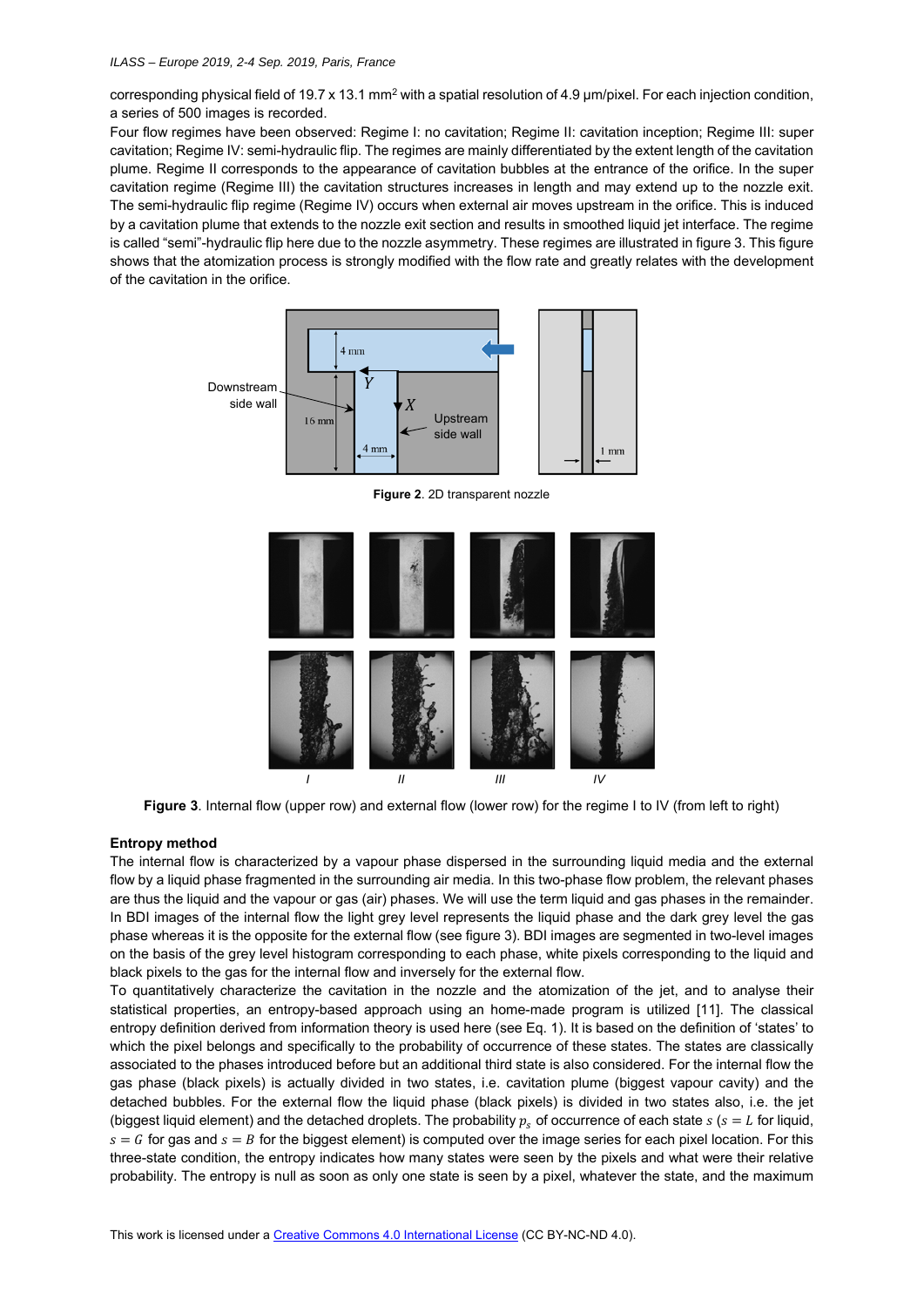corresponding physical field of 19.7 x 13.1 mm<sup>2</sup> with a spatial resolution of 4.9 µm/pixel. For each injection condition, a series of 500 images is recorded.

Four flow regimes have been observed: Regime I: no cavitation; Regime II: cavitation inception; Regime III: super cavitation; Regime IV: semi-hydraulic flip. The regimes are mainly differentiated by the extent length of the cavitation plume. Regime II corresponds to the appearance of cavitation bubbles at the entrance of the orifice. In the super cavitation regime (Regime III) the cavitation structures increases in length and may extend up to the nozzle exit. The semi-hydraulic flip regime (Regime IV) occurs when external air moves upstream in the orifice. This is induced by a cavitation plume that extends to the nozzle exit section and results in smoothed liquid jet interface. The regime is called "semi"-hydraulic flip here due to the nozzle asymmetry. These regimes are illustrated in figure 3. This figure shows that the atomization process is strongly modified with the flow rate and greatly relates with the development of the cavitation in the orifice.



**Figure 2**. 2D transparent nozzle



**Figure 3**. Internal flow (upper row) and external flow (lower row) for the regime I to IV (from left to right)

## **Entropy method**

The internal flow is characterized by a vapour phase dispersed in the surrounding liquid media and the external flow by a liquid phase fragmented in the surrounding air media. In this two-phase flow problem, the relevant phases are thus the liquid and the vapour or gas (air) phases. We will use the term liquid and gas phases in the remainder. In BDI images of the internal flow the light grey level represents the liquid phase and the dark grey level the gas phase whereas it is the opposite for the external flow (see figure 3). BDI images are segmented in two-level images on the basis of the grey level histogram corresponding to each phase, white pixels corresponding to the liquid and black pixels to the gas for the internal flow and inversely for the external flow.

To quantitatively characterize the cavitation in the nozzle and the atomization of the jet, and to analyse their statistical properties, an entropy-based approach using an home-made program is utilized [11]. The classical entropy definition derived from information theory is used here (see Eq. 1). It is based on the definition of 'states' to which the pixel belongs and specifically to the probability of occurrence of these states. The states are classically associated to the phases introduced before but an additional third state is also considered. For the internal flow the gas phase (black pixels) is actually divided in two states, i.e. cavitation plume (biggest vapour cavity) and the detached bubbles. For the external flow the liquid phase (black pixels) is divided in two states also, i.e. the jet (biggest liquid element) and the detached droplets. The probability  $p_s$  of occurrence of each state  $s$  ( $s = L$  for liquid,  $s = G$  for gas and  $s = B$  for the biggest element) is computed over the image series for each pixel location. For this three-state condition, the entropy indicates how many states were seen by the pixels and what were their relative probability. The entropy is null as soon as only one state is seen by a pixel, whatever the state, and the maximum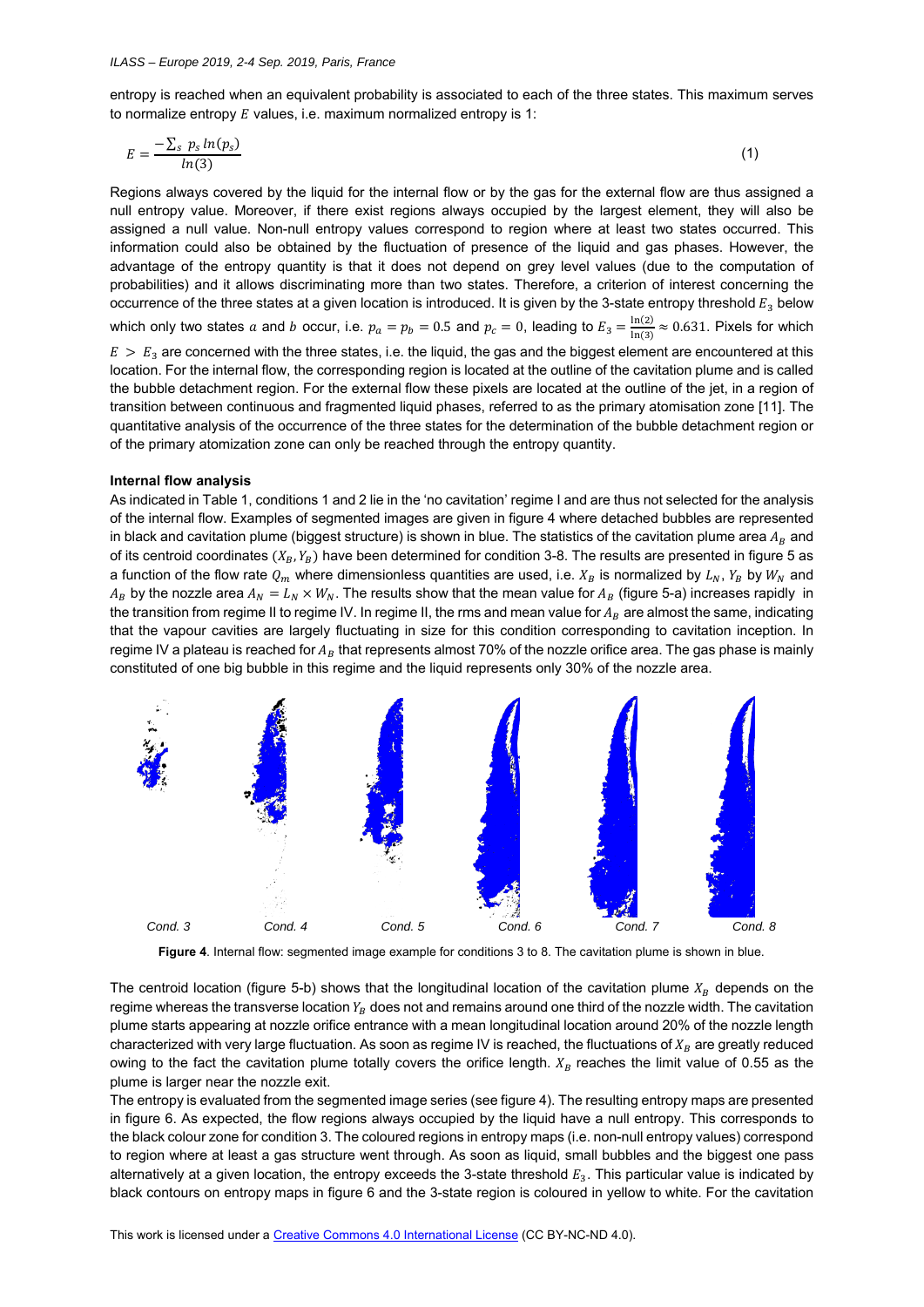entropy is reached when an equivalent probability is associated to each of the three states. This maximum serves to normalize entropy  $E$  values, i.e. maximum normalized entropy is 1:

$$
E = \frac{-\sum_{s} p_s \ln(p_s)}{\ln(3)}\tag{1}
$$

Regions always covered by the liquid for the internal flow or by the gas for the external flow are thus assigned a null entropy value. Moreover, if there exist regions always occupied by the largest element, they will also be assigned a null value. Non-null entropy values correspond to region where at least two states occurred. This information could also be obtained by the fluctuation of presence of the liquid and gas phases. However, the advantage of the entropy quantity is that it does not depend on grey level values (due to the computation of probabilities) and it allows discriminating more than two states. Therefore, a criterion of interest concerning the occurrence of the three states at a given location is introduced. It is given by the 3-state entropy threshold  $E_3$  below which only two states  $a$  and  $b$  occur, i.e.  $p_a=p_b=0.5$  and  $p_c=0$ , leading to  $E_3=\frac{\ln(2)}{\ln(3)}\approx 0.631$ . Pixels for which  $E > E<sub>3</sub>$  are concerned with the three states, i.e. the liquid, the gas and the biggest element are encountered at this location. For the internal flow, the corresponding region is located at the outline of the cavitation plume and is called the bubble detachment region. For the external flow these pixels are located at the outline of the jet, in a region of transition between continuous and fragmented liquid phases, referred to as the primary atomisation zone [11]. The quantitative analysis of the occurrence of the three states for the determination of the bubble detachment region or of the primary atomization zone can only be reached through the entropy quantity.

#### **Internal flow analysis**

As indicated in Table 1, conditions 1 and 2 lie in the 'no cavitation' regime I and are thus not selected for the analysis of the internal flow. Examples of segmented images are given in figure 4 where detached bubbles are represented in black and cavitation plume (biggest structure) is shown in blue. The statistics of the cavitation plume area  $A_R$  and of its centroid coordinates  $(X_R, Y_R)$  have been determined for condition 3-8. The results are presented in figure 5 as a function of the flow rate  $Q_m$  where dimensionless quantities are used, i.e.  $X_B$  is normalized by  $L_N$ ,  $Y_B$  by  $W_N$  and  $A_B$  by the nozzle area  $A_N = L_N \times W_N$ . The results show that the mean value for  $A_B$  (figure 5-a) increases rapidly in the transition from regime II to regime IV. In regime II, the rms and mean value for  $A_B$  are almost the same, indicating that the vapour cavities are largely fluctuating in size for this condition corresponding to cavitation inception. In regime IV a plateau is reached for  $A_B$  that represents almost 70% of the nozzle orifice area. The gas phase is mainly constituted of one big bubble in this regime and the liquid represents only 30% of the nozzle area.



**Figure 4**. Internal flow: segmented image example for conditions 3 to 8. The cavitation plume is shown in blue.

The centroid location (figure 5-b) shows that the longitudinal location of the cavitation plume  $X_R$  depends on the regime whereas the transverse location  $Y_B$  does not and remains around one third of the nozzle width. The cavitation plume starts appearing at nozzle orifice entrance with a mean longitudinal location around 20% of the nozzle length characterized with very large fluctuation. As soon as regime IV is reached, the fluctuations of  $X_R$  are greatly reduced owing to the fact the cavitation plume totally covers the orifice length.  $X_R$  reaches the limit value of 0.55 as the plume is larger near the nozzle exit.

The entropy is evaluated from the segmented image series (see figure 4). The resulting entropy maps are presented in figure 6. As expected, the flow regions always occupied by the liquid have a null entropy. This corresponds to the black colour zone for condition 3. The coloured regions in entropy maps (i.e. non-null entropy values) correspond to region where at least a gas structure went through. As soon as liquid, small bubbles and the biggest one pass alternatively at a given location, the entropy exceeds the 3-state threshold  $E_3$ . This particular value is indicated by black contours on entropy maps in figure 6 and the 3-state region is coloured in yellow to white. For the cavitation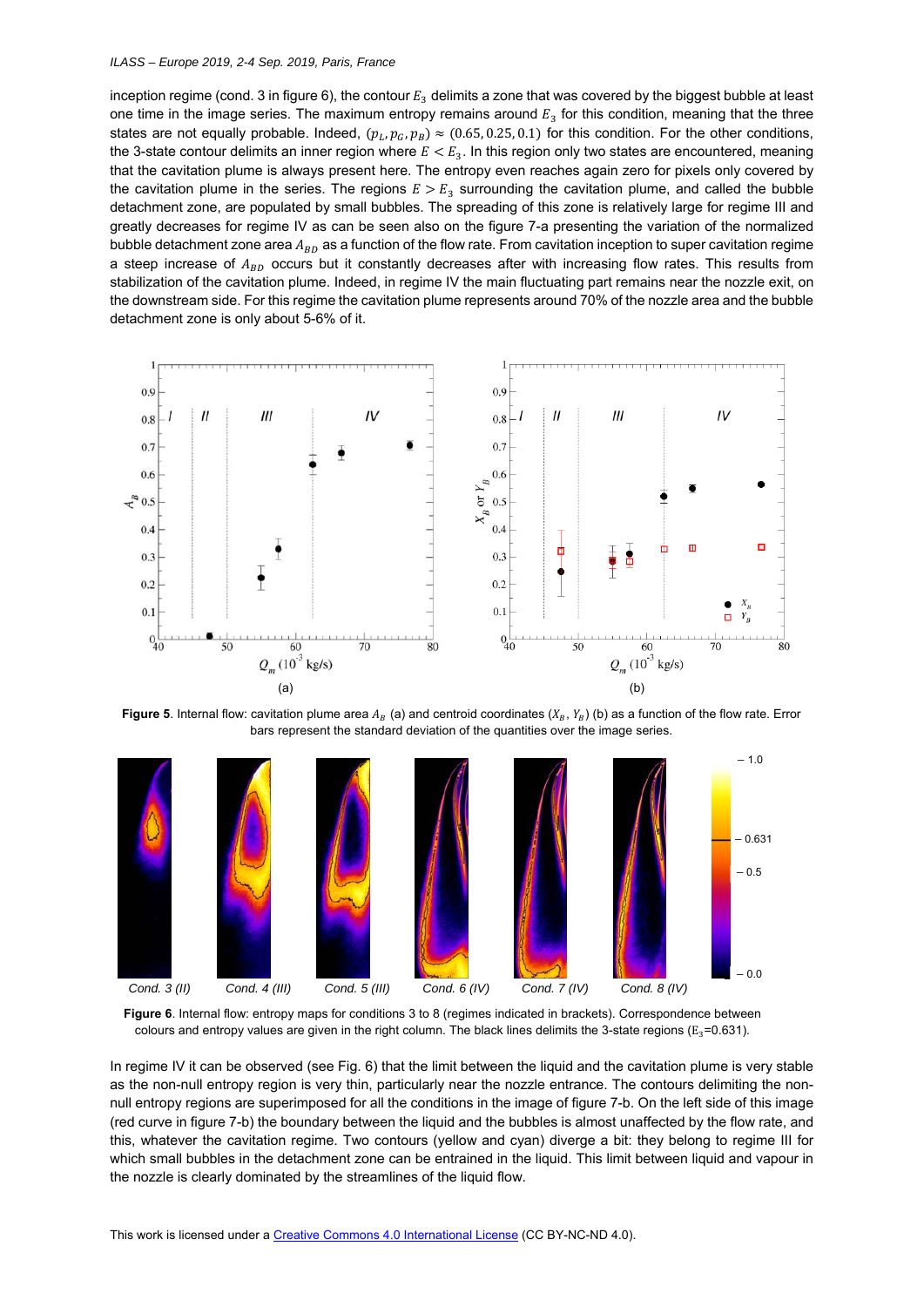### *ILASS – Europe 2019, 2-4 Sep. 2019, Paris, France*

inception regime (cond. 3 in figure 6), the contour  $E_3$  delimits a zone that was covered by the biggest bubble at least one time in the image series. The maximum entropy remains around  $E_3$  for this condition, meaning that the three states are not equally probable. Indeed,  $(p_l, p_G, p_B) \approx (0.65, 0.25, 0.1)$  for this condition. For the other conditions, the 3-state contour delimits an inner region where  $E < E_3$ . In this region only two states are encountered, meaning that the cavitation plume is always present here. The entropy even reaches again zero for pixels only covered by the cavitation plume in the series. The regions  $E > E_3$  surrounding the cavitation plume, and called the bubble detachment zone, are populated by small bubbles. The spreading of this zone is relatively large for regime III and greatly decreases for regime IV as can be seen also on the figure 7-a presenting the variation of the normalized bubble detachment zone area  $A_{BD}$  as a function of the flow rate. From cavitation inception to super cavitation regime a steep increase of  $A_{RD}$  occurs but it constantly decreases after with increasing flow rates. This results from stabilization of the cavitation plume. Indeed, in regime IV the main fluctuating part remains near the nozzle exit, on the downstream side. For this regime the cavitation plume represents around 70% of the nozzle area and the bubble detachment zone is only about 5-6% of it.



**Figure 5**. Internal flow: cavitation plume area  $A_B$  (a) and centroid coordinates ( $X_B$ ,  $Y_B$ ) (b) as a function of the flow rate. Error bars represent the standard deviation of the quantities over the image series.



**Figure 6**. Internal flow: entropy maps for conditions 3 to 8 (regimes indicated in brackets). Correspondence between colours and entropy values are given in the right column. The black lines delimits the 3-state regions ( $E_3$ =0.631).

In regime IV it can be observed (see Fig. 6) that the limit between the liquid and the cavitation plume is very stable as the non-null entropy region is very thin, particularly near the nozzle entrance. The contours delimiting the nonnull entropy regions are superimposed for all the conditions in the image of figure 7-b. On the left side of this image (red curve in figure 7-b) the boundary between the liquid and the bubbles is almost unaffected by the flow rate, and this, whatever the cavitation regime. Two contours (yellow and cyan) diverge a bit: they belong to regime III for which small bubbles in the detachment zone can be entrained in the liquid. This limit between liquid and vapour in the nozzle is clearly dominated by the streamlines of the liquid flow.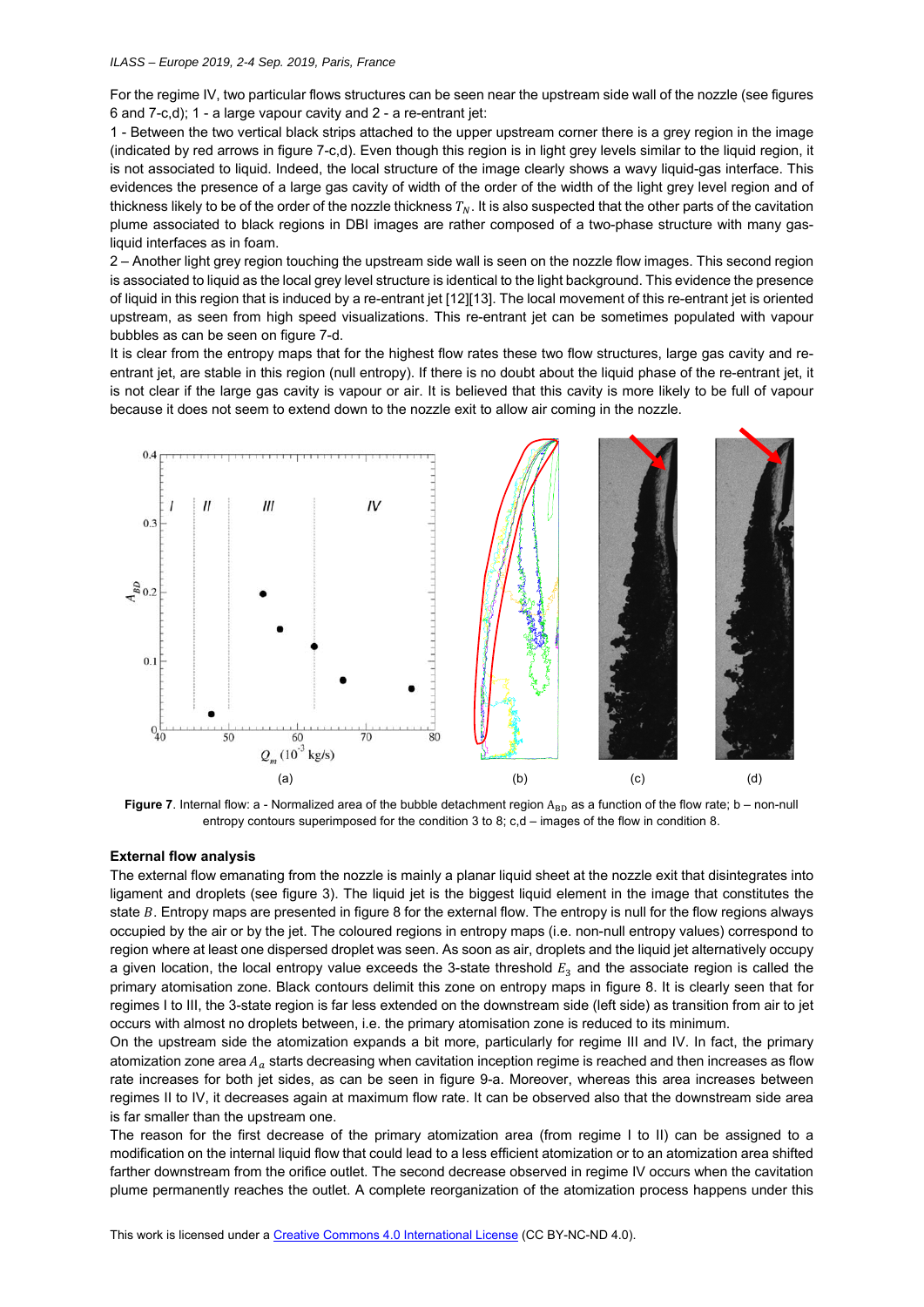For the regime IV, two particular flows structures can be seen near the upstream side wall of the nozzle (see figures 6 and 7-c,d); 1 - a large vapour cavity and 2 - a re-entrant jet:

1 - Between the two vertical black strips attached to the upper upstream corner there is a grey region in the image (indicated by red arrows in figure 7-c,d). Even though this region is in light grey levels similar to the liquid region, it is not associated to liquid. Indeed, the local structure of the image clearly shows a wavy liquid-gas interface. This evidences the presence of a large gas cavity of width of the order of the width of the light grey level region and of thickness likely to be of the order of the nozzle thickness  $T_N$ . It is also suspected that the other parts of the cavitation plume associated to black regions in DBI images are rather composed of a two-phase structure with many gasliquid interfaces as in foam.

2 – Another light grey region touching the upstream side wall is seen on the nozzle flow images. This second region is associated to liquid as the local grey level structure is identical to the light background. This evidence the presence of liquid in this region that is induced by a re-entrant jet [12][13]. The local movement of this re-entrant jet is oriented upstream, as seen from high speed visualizations. This re-entrant jet can be sometimes populated with vapour bubbles as can be seen on figure 7-d.

It is clear from the entropy maps that for the highest flow rates these two flow structures, large gas cavity and reentrant jet, are stable in this region (null entropy). If there is no doubt about the liquid phase of the re-entrant jet, it is not clear if the large gas cavity is vapour or air. It is believed that this cavity is more likely to be full of vapour because it does not seem to extend down to the nozzle exit to allow air coming in the nozzle.



Figure 7. Internal flow: a - Normalized area of the bubble detachment region A<sub>BD</sub> as a function of the flow rate; b – non-null entropy contours superimposed for the condition 3 to 8; c,d – images of the flow in condition 8.

#### **External flow analysis**

The external flow emanating from the nozzle is mainly a planar liquid sheet at the nozzle exit that disintegrates into ligament and droplets (see figure 3). The liquid jet is the biggest liquid element in the image that constitutes the state  $B$ . Entropy maps are presented in figure 8 for the external flow. The entropy is null for the flow regions always occupied by the air or by the jet. The coloured regions in entropy maps (i.e. non-null entropy values) correspond to region where at least one dispersed droplet was seen. As soon as air, droplets and the liquid jet alternatively occupy a given location, the local entropy value exceeds the 3-state threshold  $E_3$  and the associate region is called the primary atomisation zone. Black contours delimit this zone on entropy maps in figure 8. It is clearly seen that for regimes I to III, the 3-state region is far less extended on the downstream side (left side) as transition from air to jet occurs with almost no droplets between, i.e. the primary atomisation zone is reduced to its minimum.

On the upstream side the atomization expands a bit more, particularly for regime III and IV. In fact, the primary atomization zone area  $A_a$  starts decreasing when cavitation inception regime is reached and then increases as flow rate increases for both jet sides, as can be seen in figure 9-a. Moreover, whereas this area increases between regimes II to IV, it decreases again at maximum flow rate. It can be observed also that the downstream side area is far smaller than the upstream one.

The reason for the first decrease of the primary atomization area (from regime I to II) can be assigned to a modification on the internal liquid flow that could lead to a less efficient atomization or to an atomization area shifted farther downstream from the orifice outlet. The second decrease observed in regime IV occurs when the cavitation plume permanently reaches the outlet. A complete reorganization of the atomization process happens under this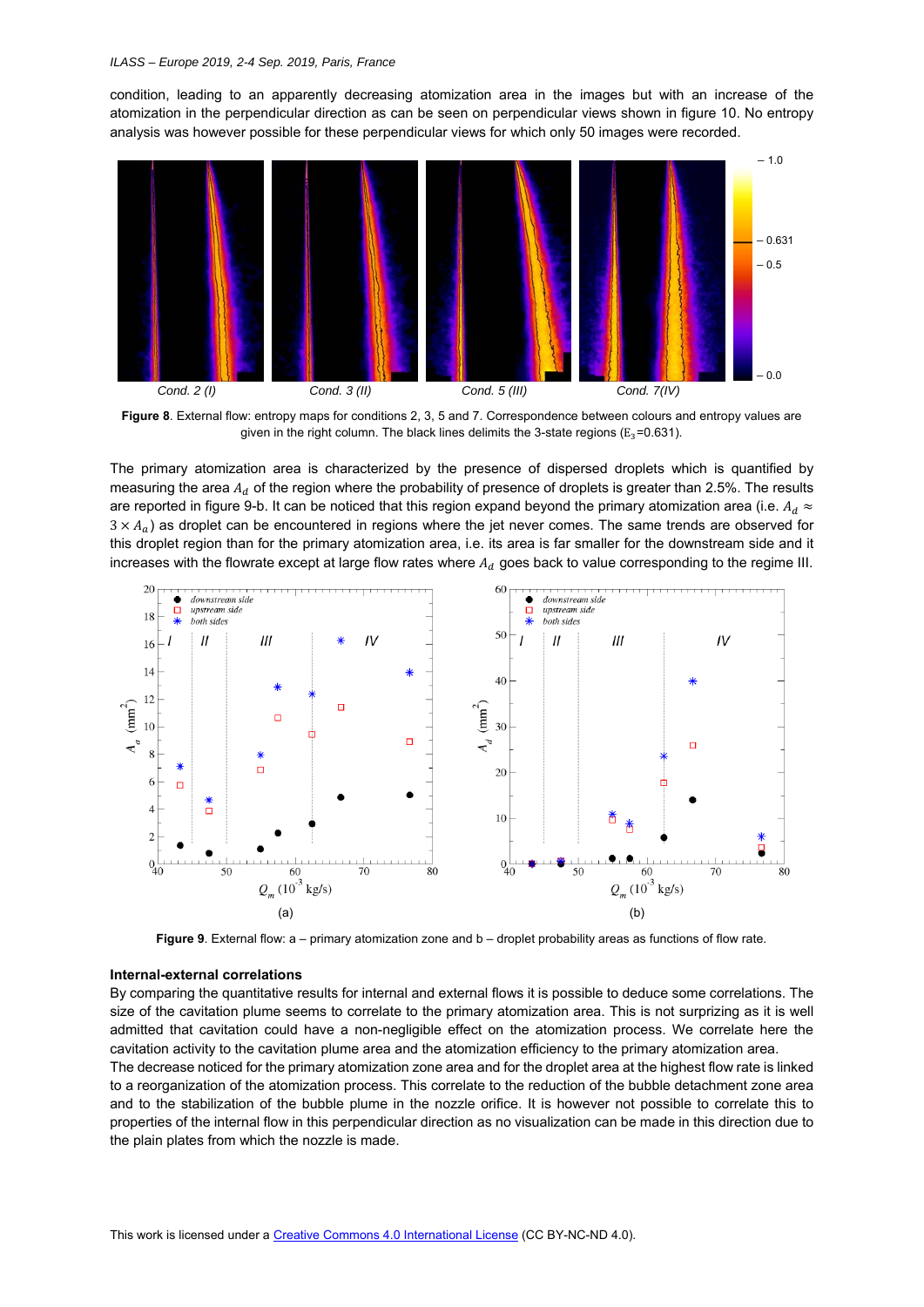condition, leading to an apparently decreasing atomization area in the images but with an increase of the atomization in the perpendicular direction as can be seen on perpendicular views shown in figure 10. No entropy analysis was however possible for these perpendicular views for which only 50 images were recorded.



**Figure 8**. External flow: entropy maps for conditions 2, 3, 5 and 7. Correspondence between colours and entropy values are given in the right column. The black lines delimits the 3-state regions ( $E_3$ =0.631).

The primary atomization area is characterized by the presence of dispersed droplets which is quantified by measuring the area  $A_d$  of the region where the probability of presence of droplets is greater than 2.5%. The results are reported in figure 9-b. It can be noticed that this region expand beyond the primary atomization area (i.e.  $A_d \approx$  $3 \times A_{\alpha}$ ) as droplet can be encountered in regions where the jet never comes. The same trends are observed for this droplet region than for the primary atomization area, i.e. its area is far smaller for the downstream side and it increases with the flowrate except at large flow rates where  $A_d$  goes back to value corresponding to the regime III.



**Figure 9**. External flow: a – primary atomization zone and b – droplet probability areas as functions of flow rate.

### **Internal-external correlations**

By comparing the quantitative results for internal and external flows it is possible to deduce some correlations. The size of the cavitation plume seems to correlate to the primary atomization area. This is not surprizing as it is well admitted that cavitation could have a non-negligible effect on the atomization process. We correlate here the cavitation activity to the cavitation plume area and the atomization efficiency to the primary atomization area. The decrease noticed for the primary atomization zone area and for the droplet area at the highest flow rate is linked to a reorganization of the atomization process. This correlate to the reduction of the bubble detachment zone area and to the stabilization of the bubble plume in the nozzle orifice. It is however not possible to correlate this to properties of the internal flow in this perpendicular direction as no visualization can be made in this direction due to the plain plates from which the nozzle is made.